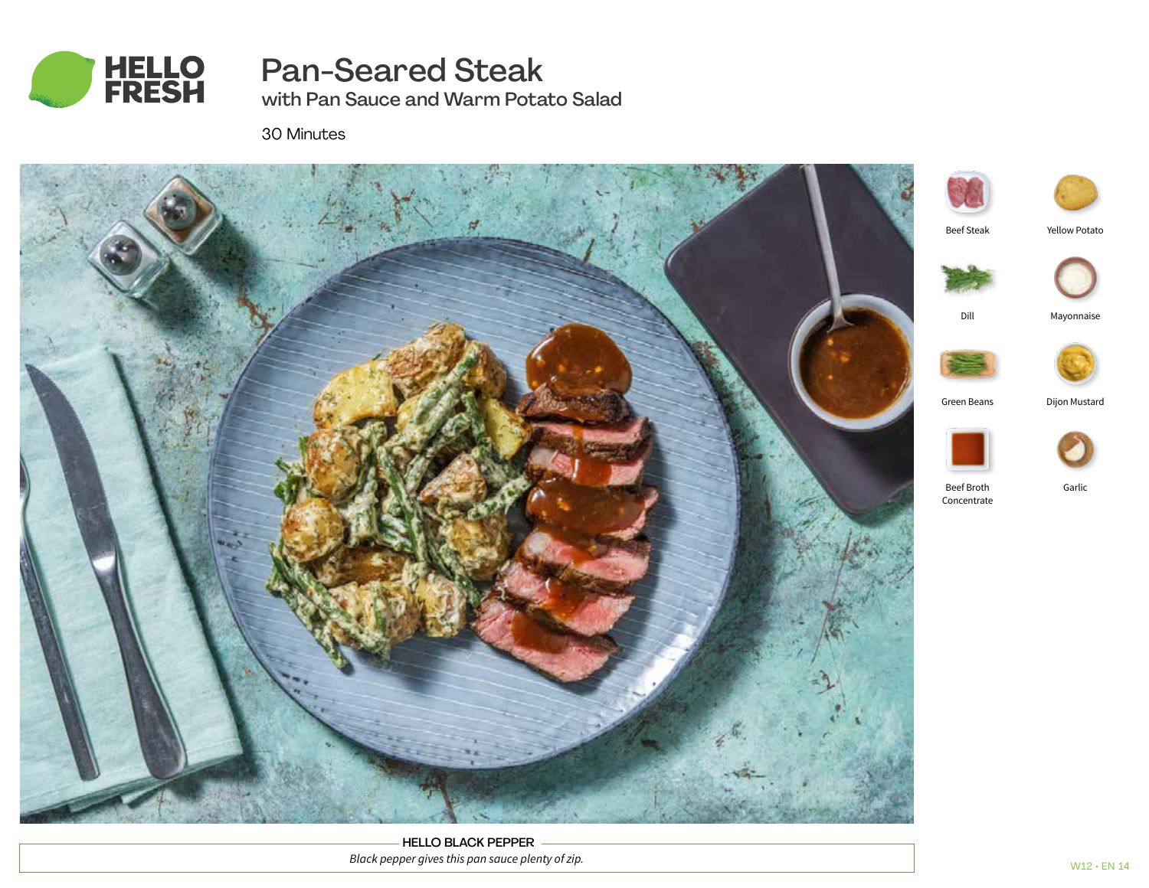

# Pan-Seared Steak

with Pan Sauce and Warm Potato Salad

30 Minutes



HELLO BLACK PEPPER *Black pepper gives this pan sauce plenty of zip.*